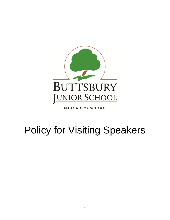

AN ACADEMY SCHOOL

# Policy for Visiting Speakers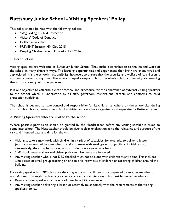# **Buttsbury Junior School - Visiting Speakers' Policy**

This policy should be read with the following policies:

- Safeguarding & Child Protection
- Visitors' Code of Conduct
- Collective worship
- PREVENT Strategy HM Gov 2015
- Keeping Children Safe in Education DfE 2016

### **1. Introduction**

Visiting speakers are welcome to Buttsbury Junior School. They make a contribution to the life and work of the school in many different ways. The learning opportunities and experiences they bring are encouraged and appreciated. It is the school's responsibility, however, to ensure that the security and welfare of its children is not compromised at any time. The school is equally responsible to the whole school community for ensuring that visitors comply with the guidelines.

It is our objective to establish a clear protocol and procedure for the admittance of external visiting speakers to the school which is understood by all staff, governors, visitors and parents and conforms to child protection guidelines.

The school is deemed to have control and responsibility for its children anywhere on the school site, during normal school hours, during after school activities and on school organised (and supervised) off-site activities.

#### **2. Visiting Speakers who are invited to the school**

Where possible permission should be granted by the Headteacher before any visiting speaker is asked to come into school. The Headteacher should be given a clear explanation as to the relevance and purpose of the visit and intended date and time for the visit.

- Visiting speakers may work with children in a variety of capacities, for example, to deliver a lesson (normally supervised by a member of staff), to meet with small groups of pupils or individuals or, alternatively, they may be working with a student on a one to one basis.
- Staff should ensure all normal visitor policy requirements are followed.
- Any visiting speaker who is not DBS checked must not be alone with children at any point. This includes whole class or small group teaching or one to one interviews of children or escorting children around the building.

If a visiting speaker has DBS clearance they may work with children unaccompanied by another member of staff. At times this might be teaching a class or a one to one interview. This must be agreed in advance.

- Regular visiting speakers to the school must have DBS clearance.
- Any visiting speaker delivering a lesson or assembly must comply with the requirements of the visiting speakers' policy.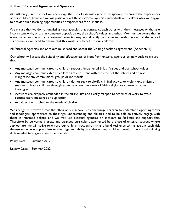#### **3. Use of External Agencies and Speakers**

At Buttsbury Junior School we encourage the use of external agencies or speakers to enrich the experiences of our children; however we will positively vet those external agencies, individuals or speakers who we engage to provide such learning opportunities or experiences for our pupils.

We ensure that we do not unwittingly use agencies that contradict each other with their messages or that are inconsistent with, or are in complete opposition to, the school's values and ethos. We must be aware that in some instances the work of external agencies may not directly be connected with the rest of the school curriculum so we need to ensure that this work is of benefit to our children.

All External Agencies and Speakers must read and accept the Visiting Speaker's agreement. (Appendix 1)

Our school will assess the suitability and effectiveness of input from external agencies or individuals to ensure that:

- Any messages communicated to children support fundamental British Values and our school values.
- Any messages communicated to children are consistent with the ethos of the school and do not marginalise any communities, groups or individuals
- Any messages communicated to children do not seek to glorify criminal activity or violent extremism or seek to radicalise children through extreme or narrow views of faith, religion or culture or other ideologies
- Activities are properly embedded in the curriculum and clearly mapped to schemes of work to avoid contradictory messages or duplication.
- Activities are matched to the needs of children

We recognise, however, that the ethos of our school is to encourage children to understand opposing views and ideologies, appropriate to their age, understanding and abilities, and to be able to actively engage with them in informed debate, and we may use external agencies or speakers to facilitate and support this. Therefore by delivering a broad and balanced curriculum, augmented by the use of external sources where appropriate, we will strive to ensure our children recognise risk and build resilience to manage any such risk themselves where appropriate to their age and ability but also to help children develop the critical thinking skills needed to engage in informed debate.

Policy Date: Summer 2019

Review Date: Summer 2022